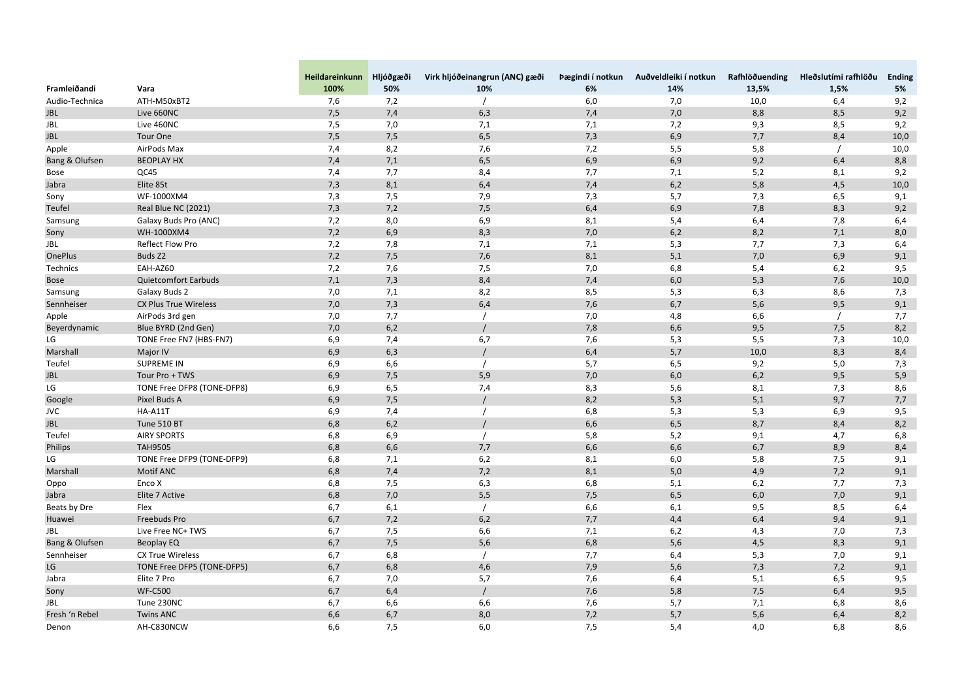| 100%<br>50%<br>10%<br>14%<br>13,5%<br>1,5%<br>5%<br>Vara<br>6%<br>6,0<br>10,0<br>9,2<br>ATH-M50xBT2<br>7,6<br>7,2<br>7,0<br>6,4<br>9,2<br>7,5<br>7,4<br>7,4<br>7,0<br>Live 660NC<br>6,3<br>8,8<br>8,5<br>9,2<br>Live 460NC<br>7,5<br>7,0<br>7,1<br>7,2<br>9,3<br>8,5<br>7,1<br>Tour One<br>7,5<br>6,5<br>7,3<br>6,9<br>7,5<br>7,7<br>8,4<br>10,0<br>8,2<br>7,2<br>AirPods Max<br>7,4<br>7,6<br>5,5<br>5,8<br>10,0<br>Apple<br>Bang & Olufsen<br><b>BEOPLAY HX</b><br>7,4<br>7,1<br>6,5<br>6,9<br>6,9<br>9,2<br>8,8<br>6,4<br>9,2<br>QC45<br>7,7<br>8,4<br>7,1<br>5,2<br>7,4<br>7,7<br>8,1<br>Bose<br>8,1<br>6,2<br>Elite 85t<br>7,3<br>6,4<br>7,4<br>5,8<br>4,5<br>10,0<br>Jabra<br>WF-1000XM4<br>7,3<br>7,5<br>7,9<br>7,3<br>5,7<br>7,3<br>6,5<br>9,1<br>Sony<br>Teufel<br>Real Blue NC (2021)<br>7,2<br>7,5<br>6,9<br>7,8<br>8,3<br>9,2<br>7,3<br>6,4<br>Galaxy Buds Pro (ANC)<br>8,0<br>6,9<br>8,1<br>7,8<br>6,4<br>Samsung<br>7,2<br>5,4<br>6,4<br>7,2<br>6,9<br>8,3<br>7,0<br>6,2<br>8,2<br>7,1<br>8,0<br>WH-1000XM4<br>Sony<br>Reflect Flow Pro<br><b>JBL</b><br>7,8<br>7,1<br>7,7<br>7,2<br>7,1<br>5,3<br>7,3<br>6,4<br>7,6<br>Buds Z2<br>7,2<br>7,5<br>8,1<br>5,1<br>6,9<br>9,1<br><b>OnePlus</b><br>7,0<br>EAH-AZ60<br>7,2<br>7,6<br>7,5<br>7,0<br>6,8<br>9,5<br>Technics<br>5,4<br>6,2<br><b>Quietcomfort Earbuds</b><br>7,1<br>7,3<br>8,4<br>6,0<br>7,6<br>10,0<br>7,4<br>5,3<br><b>Bose</b><br>7,1<br>8,2<br>8,5<br>5,3<br>6,3<br>8,6<br>7,3<br><b>Galaxy Buds 2</b><br>7,0<br>Samsung<br>7,3<br>7,6<br>9,1<br>Sennheiser<br><b>CX Plus True Wireless</b><br>7,0<br>6,4<br>6,7<br>5,6<br>9,5<br>AirPods 3rd gen<br>Apple<br>7,0<br>7,7<br>7,0<br>6,6<br>7,7<br>4,8<br>Blue BYRD (2nd Gen)<br>8,2<br>6,2<br>7,8<br>6,6<br>9,5<br>Beyerdynamic<br>7,0<br>7,5<br>LG<br>TONE Free FN7 (HBS-FN7)<br>6,9<br>7,4<br>6,7<br>7,6<br>5,3<br>5,5<br>7,3<br>10,0<br>Marshall<br>6,9<br>6,3<br>6,4<br>5,7<br>10,0<br>8,3<br>8,4<br>Major IV<br>Teufel<br><b>SUPREME IN</b><br>6,6<br>5,7<br>9,2<br>7,3<br>6,9<br>6,5<br>5,0<br>6,2<br>5,9<br>Tour Pro + TWS<br>6,9<br>7,5<br>5,9<br>7,0<br>6,0<br>9,5<br><b>JBL</b><br>LG<br>6,5<br>8,6<br>TONE Free DFP8 (TONE-DFP8)<br>6,9<br>7,4<br>8,3<br>5,6<br>8,1<br>7,3<br>6,9<br>7,5<br>8,2<br>5,3<br>5,1<br>9,7<br>7,7<br>Pixel Buds A<br>Google<br><b>HA-A11T</b><br>6,9<br>7,4<br>5,3<br>9,5<br><b>JVC</b><br>6,8<br>5,3<br>6,9<br>8,2<br>6,8<br>6,2<br>6,6<br>6,5<br>8,7<br>8,4<br><b>JBL</b><br>Tune 510 BT<br>Teufel<br>6,8<br><b>AIRY SPORTS</b><br>6,8<br>6,9<br>5,8<br>5,2<br>9,1<br>4,7<br>6,8<br>Philips<br><b>TAH9505</b><br>6,6<br>7,7<br>6,6<br>6,6<br>6,7<br>8,9<br>8,4<br>LG<br>TONE Free DFP9 (TONE-DFP9)<br>6,8<br>7,1<br>6,2<br>8,1<br>6,0<br>5,8<br>7,5<br>9,1<br>Marshall<br>Motif ANC<br>7,4<br>7,2<br>$5,0$<br>9,1<br>6,8<br>8,1<br>4,9<br>7,2<br>Enco X<br>7,5<br>6,3<br>Oppo<br>6,8<br>6,8<br>5,1<br>6,2<br>7,7<br>7,3<br>Elite 7 Active<br>6,8<br>5,5<br>6, 5<br>9,1<br>Jabra<br>7,0<br>7,5<br>6,0<br>7,0<br>Beats by Dre<br>6,1<br>6,6<br>Flex<br>6,7<br>6,1<br>9,5<br>8,5<br>6,4<br>Huawei<br>Freebuds Pro<br>6,7<br>7,2<br>6,2<br>9,4<br>9,1<br>7,7<br>4,4<br>6,4<br><b>JBL</b><br>Live Free NC+ TWS<br>7,5<br>6,6<br>6,2<br>7,0<br>7,3<br>6,7<br>7,1<br>4,3<br>Bang & Olufsen<br>6,7<br>7,5<br>5,6<br>6,8<br>5,6<br>8,3<br>9,1<br>Beoplay EQ<br>4,5<br>Sennheiser<br><b>CX True Wireless</b><br>6,8<br>6,7<br>6,4<br>5,3<br>7,0<br>9,1<br>7,7<br>LG<br>9,1<br>6,7<br>6,8<br>4,6<br>7,9<br>5,6<br>7,3<br>7,2<br>TONE Free DFP5 (TONE-DFP5)<br>Elite 7 Pro<br>7,0<br>5,7<br>7,6<br>9,5<br>6,7<br>6,4<br>5,1<br>6,5<br>Jabra<br><b>WF-C500</b><br>9,5<br>Sony<br>6,7<br>6,4<br>7,6<br>5,8<br>7,5<br>6,4<br><b>JBL</b><br>6,7<br>6,6<br>6,6<br>7,6<br>5,7<br>6,8<br>8,6<br>Tune 230NC<br>7,1<br>Fresh 'n Rebel<br><b>Twins ANC</b><br>6,6<br>6,7<br>8,0<br>7,2<br>5,7<br>5,6<br>8,2<br>6,4 |                |            | Heildareinkunn | Hljóðgæði | Virk hljóðeinangrun (ANC) gæði | Þægindi í notkun | Auðveldleiki í notkun | Rafhlöðuending | Hleðslutími rafhlöðu | <b>Ending</b> |
|--------------------------------------------------------------------------------------------------------------------------------------------------------------------------------------------------------------------------------------------------------------------------------------------------------------------------------------------------------------------------------------------------------------------------------------------------------------------------------------------------------------------------------------------------------------------------------------------------------------------------------------------------------------------------------------------------------------------------------------------------------------------------------------------------------------------------------------------------------------------------------------------------------------------------------------------------------------------------------------------------------------------------------------------------------------------------------------------------------------------------------------------------------------------------------------------------------------------------------------------------------------------------------------------------------------------------------------------------------------------------------------------------------------------------------------------------------------------------------------------------------------------------------------------------------------------------------------------------------------------------------------------------------------------------------------------------------------------------------------------------------------------------------------------------------------------------------------------------------------------------------------------------------------------------------------------------------------------------------------------------------------------------------------------------------------------------------------------------------------------------------------------------------------------------------------------------------------------------------------------------------------------------------------------------------------------------------------------------------------------------------------------------------------------------------------------------------------------------------------------------------------------------------------------------------------------------------------------------------------------------------------------------------------------------------------------------------------------------------------------------------------------------------------------------------------------------------------------------------------------------------------------------------------------------------------------------------------------------------------------------------------------------------------------------------------------------------------------------------------------------------------------------------------------------------------------------------------------------------------------------------------------------------------------------------------------------------------------------------------------------------------------------------------------------------------------------------------------------------------------------------------------------------------------------------------------------------------------------------------------------------------------------------------------------------------------------------------------------------------------------------------------------------------------------------------------------------------------------------------|----------------|------------|----------------|-----------|--------------------------------|------------------|-----------------------|----------------|----------------------|---------------|
|                                                                                                                                                                                                                                                                                                                                                                                                                                                                                                                                                                                                                                                                                                                                                                                                                                                                                                                                                                                                                                                                                                                                                                                                                                                                                                                                                                                                                                                                                                                                                                                                                                                                                                                                                                                                                                                                                                                                                                                                                                                                                                                                                                                                                                                                                                                                                                                                                                                                                                                                                                                                                                                                                                                                                                                                                                                                                                                                                                                                                                                                                                                                                                                                                                                                                                                                                                                                                                                                                                                                                                                                                                                                                                                                                                                                                                                              | Framleiðandi   |            |                |           |                                |                  |                       |                |                      |               |
|                                                                                                                                                                                                                                                                                                                                                                                                                                                                                                                                                                                                                                                                                                                                                                                                                                                                                                                                                                                                                                                                                                                                                                                                                                                                                                                                                                                                                                                                                                                                                                                                                                                                                                                                                                                                                                                                                                                                                                                                                                                                                                                                                                                                                                                                                                                                                                                                                                                                                                                                                                                                                                                                                                                                                                                                                                                                                                                                                                                                                                                                                                                                                                                                                                                                                                                                                                                                                                                                                                                                                                                                                                                                                                                                                                                                                                                              | Audio-Technica |            |                |           |                                |                  |                       |                |                      |               |
|                                                                                                                                                                                                                                                                                                                                                                                                                                                                                                                                                                                                                                                                                                                                                                                                                                                                                                                                                                                                                                                                                                                                                                                                                                                                                                                                                                                                                                                                                                                                                                                                                                                                                                                                                                                                                                                                                                                                                                                                                                                                                                                                                                                                                                                                                                                                                                                                                                                                                                                                                                                                                                                                                                                                                                                                                                                                                                                                                                                                                                                                                                                                                                                                                                                                                                                                                                                                                                                                                                                                                                                                                                                                                                                                                                                                                                                              | <b>JBL</b>     |            |                |           |                                |                  |                       |                |                      |               |
|                                                                                                                                                                                                                                                                                                                                                                                                                                                                                                                                                                                                                                                                                                                                                                                                                                                                                                                                                                                                                                                                                                                                                                                                                                                                                                                                                                                                                                                                                                                                                                                                                                                                                                                                                                                                                                                                                                                                                                                                                                                                                                                                                                                                                                                                                                                                                                                                                                                                                                                                                                                                                                                                                                                                                                                                                                                                                                                                                                                                                                                                                                                                                                                                                                                                                                                                                                                                                                                                                                                                                                                                                                                                                                                                                                                                                                                              | <b>JBL</b>     |            |                |           |                                |                  |                       |                |                      |               |
|                                                                                                                                                                                                                                                                                                                                                                                                                                                                                                                                                                                                                                                                                                                                                                                                                                                                                                                                                                                                                                                                                                                                                                                                                                                                                                                                                                                                                                                                                                                                                                                                                                                                                                                                                                                                                                                                                                                                                                                                                                                                                                                                                                                                                                                                                                                                                                                                                                                                                                                                                                                                                                                                                                                                                                                                                                                                                                                                                                                                                                                                                                                                                                                                                                                                                                                                                                                                                                                                                                                                                                                                                                                                                                                                                                                                                                                              | <b>JBL</b>     |            |                |           |                                |                  |                       |                |                      |               |
|                                                                                                                                                                                                                                                                                                                                                                                                                                                                                                                                                                                                                                                                                                                                                                                                                                                                                                                                                                                                                                                                                                                                                                                                                                                                                                                                                                                                                                                                                                                                                                                                                                                                                                                                                                                                                                                                                                                                                                                                                                                                                                                                                                                                                                                                                                                                                                                                                                                                                                                                                                                                                                                                                                                                                                                                                                                                                                                                                                                                                                                                                                                                                                                                                                                                                                                                                                                                                                                                                                                                                                                                                                                                                                                                                                                                                                                              |                |            |                |           |                                |                  |                       |                |                      |               |
|                                                                                                                                                                                                                                                                                                                                                                                                                                                                                                                                                                                                                                                                                                                                                                                                                                                                                                                                                                                                                                                                                                                                                                                                                                                                                                                                                                                                                                                                                                                                                                                                                                                                                                                                                                                                                                                                                                                                                                                                                                                                                                                                                                                                                                                                                                                                                                                                                                                                                                                                                                                                                                                                                                                                                                                                                                                                                                                                                                                                                                                                                                                                                                                                                                                                                                                                                                                                                                                                                                                                                                                                                                                                                                                                                                                                                                                              |                |            |                |           |                                |                  |                       |                |                      |               |
|                                                                                                                                                                                                                                                                                                                                                                                                                                                                                                                                                                                                                                                                                                                                                                                                                                                                                                                                                                                                                                                                                                                                                                                                                                                                                                                                                                                                                                                                                                                                                                                                                                                                                                                                                                                                                                                                                                                                                                                                                                                                                                                                                                                                                                                                                                                                                                                                                                                                                                                                                                                                                                                                                                                                                                                                                                                                                                                                                                                                                                                                                                                                                                                                                                                                                                                                                                                                                                                                                                                                                                                                                                                                                                                                                                                                                                                              |                |            |                |           |                                |                  |                       |                |                      |               |
|                                                                                                                                                                                                                                                                                                                                                                                                                                                                                                                                                                                                                                                                                                                                                                                                                                                                                                                                                                                                                                                                                                                                                                                                                                                                                                                                                                                                                                                                                                                                                                                                                                                                                                                                                                                                                                                                                                                                                                                                                                                                                                                                                                                                                                                                                                                                                                                                                                                                                                                                                                                                                                                                                                                                                                                                                                                                                                                                                                                                                                                                                                                                                                                                                                                                                                                                                                                                                                                                                                                                                                                                                                                                                                                                                                                                                                                              |                |            |                |           |                                |                  |                       |                |                      |               |
|                                                                                                                                                                                                                                                                                                                                                                                                                                                                                                                                                                                                                                                                                                                                                                                                                                                                                                                                                                                                                                                                                                                                                                                                                                                                                                                                                                                                                                                                                                                                                                                                                                                                                                                                                                                                                                                                                                                                                                                                                                                                                                                                                                                                                                                                                                                                                                                                                                                                                                                                                                                                                                                                                                                                                                                                                                                                                                                                                                                                                                                                                                                                                                                                                                                                                                                                                                                                                                                                                                                                                                                                                                                                                                                                                                                                                                                              |                |            |                |           |                                |                  |                       |                |                      |               |
|                                                                                                                                                                                                                                                                                                                                                                                                                                                                                                                                                                                                                                                                                                                                                                                                                                                                                                                                                                                                                                                                                                                                                                                                                                                                                                                                                                                                                                                                                                                                                                                                                                                                                                                                                                                                                                                                                                                                                                                                                                                                                                                                                                                                                                                                                                                                                                                                                                                                                                                                                                                                                                                                                                                                                                                                                                                                                                                                                                                                                                                                                                                                                                                                                                                                                                                                                                                                                                                                                                                                                                                                                                                                                                                                                                                                                                                              |                |            |                |           |                                |                  |                       |                |                      |               |
|                                                                                                                                                                                                                                                                                                                                                                                                                                                                                                                                                                                                                                                                                                                                                                                                                                                                                                                                                                                                                                                                                                                                                                                                                                                                                                                                                                                                                                                                                                                                                                                                                                                                                                                                                                                                                                                                                                                                                                                                                                                                                                                                                                                                                                                                                                                                                                                                                                                                                                                                                                                                                                                                                                                                                                                                                                                                                                                                                                                                                                                                                                                                                                                                                                                                                                                                                                                                                                                                                                                                                                                                                                                                                                                                                                                                                                                              |                |            |                |           |                                |                  |                       |                |                      |               |
|                                                                                                                                                                                                                                                                                                                                                                                                                                                                                                                                                                                                                                                                                                                                                                                                                                                                                                                                                                                                                                                                                                                                                                                                                                                                                                                                                                                                                                                                                                                                                                                                                                                                                                                                                                                                                                                                                                                                                                                                                                                                                                                                                                                                                                                                                                                                                                                                                                                                                                                                                                                                                                                                                                                                                                                                                                                                                                                                                                                                                                                                                                                                                                                                                                                                                                                                                                                                                                                                                                                                                                                                                                                                                                                                                                                                                                                              |                |            |                |           |                                |                  |                       |                |                      |               |
|                                                                                                                                                                                                                                                                                                                                                                                                                                                                                                                                                                                                                                                                                                                                                                                                                                                                                                                                                                                                                                                                                                                                                                                                                                                                                                                                                                                                                                                                                                                                                                                                                                                                                                                                                                                                                                                                                                                                                                                                                                                                                                                                                                                                                                                                                                                                                                                                                                                                                                                                                                                                                                                                                                                                                                                                                                                                                                                                                                                                                                                                                                                                                                                                                                                                                                                                                                                                                                                                                                                                                                                                                                                                                                                                                                                                                                                              |                |            |                |           |                                |                  |                       |                |                      |               |
|                                                                                                                                                                                                                                                                                                                                                                                                                                                                                                                                                                                                                                                                                                                                                                                                                                                                                                                                                                                                                                                                                                                                                                                                                                                                                                                                                                                                                                                                                                                                                                                                                                                                                                                                                                                                                                                                                                                                                                                                                                                                                                                                                                                                                                                                                                                                                                                                                                                                                                                                                                                                                                                                                                                                                                                                                                                                                                                                                                                                                                                                                                                                                                                                                                                                                                                                                                                                                                                                                                                                                                                                                                                                                                                                                                                                                                                              |                |            |                |           |                                |                  |                       |                |                      |               |
|                                                                                                                                                                                                                                                                                                                                                                                                                                                                                                                                                                                                                                                                                                                                                                                                                                                                                                                                                                                                                                                                                                                                                                                                                                                                                                                                                                                                                                                                                                                                                                                                                                                                                                                                                                                                                                                                                                                                                                                                                                                                                                                                                                                                                                                                                                                                                                                                                                                                                                                                                                                                                                                                                                                                                                                                                                                                                                                                                                                                                                                                                                                                                                                                                                                                                                                                                                                                                                                                                                                                                                                                                                                                                                                                                                                                                                                              |                |            |                |           |                                |                  |                       |                |                      |               |
|                                                                                                                                                                                                                                                                                                                                                                                                                                                                                                                                                                                                                                                                                                                                                                                                                                                                                                                                                                                                                                                                                                                                                                                                                                                                                                                                                                                                                                                                                                                                                                                                                                                                                                                                                                                                                                                                                                                                                                                                                                                                                                                                                                                                                                                                                                                                                                                                                                                                                                                                                                                                                                                                                                                                                                                                                                                                                                                                                                                                                                                                                                                                                                                                                                                                                                                                                                                                                                                                                                                                                                                                                                                                                                                                                                                                                                                              |                |            |                |           |                                |                  |                       |                |                      |               |
|                                                                                                                                                                                                                                                                                                                                                                                                                                                                                                                                                                                                                                                                                                                                                                                                                                                                                                                                                                                                                                                                                                                                                                                                                                                                                                                                                                                                                                                                                                                                                                                                                                                                                                                                                                                                                                                                                                                                                                                                                                                                                                                                                                                                                                                                                                                                                                                                                                                                                                                                                                                                                                                                                                                                                                                                                                                                                                                                                                                                                                                                                                                                                                                                                                                                                                                                                                                                                                                                                                                                                                                                                                                                                                                                                                                                                                                              |                |            |                |           |                                |                  |                       |                |                      |               |
|                                                                                                                                                                                                                                                                                                                                                                                                                                                                                                                                                                                                                                                                                                                                                                                                                                                                                                                                                                                                                                                                                                                                                                                                                                                                                                                                                                                                                                                                                                                                                                                                                                                                                                                                                                                                                                                                                                                                                                                                                                                                                                                                                                                                                                                                                                                                                                                                                                                                                                                                                                                                                                                                                                                                                                                                                                                                                                                                                                                                                                                                                                                                                                                                                                                                                                                                                                                                                                                                                                                                                                                                                                                                                                                                                                                                                                                              |                |            |                |           |                                |                  |                       |                |                      |               |
|                                                                                                                                                                                                                                                                                                                                                                                                                                                                                                                                                                                                                                                                                                                                                                                                                                                                                                                                                                                                                                                                                                                                                                                                                                                                                                                                                                                                                                                                                                                                                                                                                                                                                                                                                                                                                                                                                                                                                                                                                                                                                                                                                                                                                                                                                                                                                                                                                                                                                                                                                                                                                                                                                                                                                                                                                                                                                                                                                                                                                                                                                                                                                                                                                                                                                                                                                                                                                                                                                                                                                                                                                                                                                                                                                                                                                                                              |                |            |                |           |                                |                  |                       |                |                      |               |
|                                                                                                                                                                                                                                                                                                                                                                                                                                                                                                                                                                                                                                                                                                                                                                                                                                                                                                                                                                                                                                                                                                                                                                                                                                                                                                                                                                                                                                                                                                                                                                                                                                                                                                                                                                                                                                                                                                                                                                                                                                                                                                                                                                                                                                                                                                                                                                                                                                                                                                                                                                                                                                                                                                                                                                                                                                                                                                                                                                                                                                                                                                                                                                                                                                                                                                                                                                                                                                                                                                                                                                                                                                                                                                                                                                                                                                                              |                |            |                |           |                                |                  |                       |                |                      |               |
|                                                                                                                                                                                                                                                                                                                                                                                                                                                                                                                                                                                                                                                                                                                                                                                                                                                                                                                                                                                                                                                                                                                                                                                                                                                                                                                                                                                                                                                                                                                                                                                                                                                                                                                                                                                                                                                                                                                                                                                                                                                                                                                                                                                                                                                                                                                                                                                                                                                                                                                                                                                                                                                                                                                                                                                                                                                                                                                                                                                                                                                                                                                                                                                                                                                                                                                                                                                                                                                                                                                                                                                                                                                                                                                                                                                                                                                              |                |            |                |           |                                |                  |                       |                |                      |               |
|                                                                                                                                                                                                                                                                                                                                                                                                                                                                                                                                                                                                                                                                                                                                                                                                                                                                                                                                                                                                                                                                                                                                                                                                                                                                                                                                                                                                                                                                                                                                                                                                                                                                                                                                                                                                                                                                                                                                                                                                                                                                                                                                                                                                                                                                                                                                                                                                                                                                                                                                                                                                                                                                                                                                                                                                                                                                                                                                                                                                                                                                                                                                                                                                                                                                                                                                                                                                                                                                                                                                                                                                                                                                                                                                                                                                                                                              |                |            |                |           |                                |                  |                       |                |                      |               |
|                                                                                                                                                                                                                                                                                                                                                                                                                                                                                                                                                                                                                                                                                                                                                                                                                                                                                                                                                                                                                                                                                                                                                                                                                                                                                                                                                                                                                                                                                                                                                                                                                                                                                                                                                                                                                                                                                                                                                                                                                                                                                                                                                                                                                                                                                                                                                                                                                                                                                                                                                                                                                                                                                                                                                                                                                                                                                                                                                                                                                                                                                                                                                                                                                                                                                                                                                                                                                                                                                                                                                                                                                                                                                                                                                                                                                                                              |                |            |                |           |                                |                  |                       |                |                      |               |
|                                                                                                                                                                                                                                                                                                                                                                                                                                                                                                                                                                                                                                                                                                                                                                                                                                                                                                                                                                                                                                                                                                                                                                                                                                                                                                                                                                                                                                                                                                                                                                                                                                                                                                                                                                                                                                                                                                                                                                                                                                                                                                                                                                                                                                                                                                                                                                                                                                                                                                                                                                                                                                                                                                                                                                                                                                                                                                                                                                                                                                                                                                                                                                                                                                                                                                                                                                                                                                                                                                                                                                                                                                                                                                                                                                                                                                                              |                |            |                |           |                                |                  |                       |                |                      |               |
|                                                                                                                                                                                                                                                                                                                                                                                                                                                                                                                                                                                                                                                                                                                                                                                                                                                                                                                                                                                                                                                                                                                                                                                                                                                                                                                                                                                                                                                                                                                                                                                                                                                                                                                                                                                                                                                                                                                                                                                                                                                                                                                                                                                                                                                                                                                                                                                                                                                                                                                                                                                                                                                                                                                                                                                                                                                                                                                                                                                                                                                                                                                                                                                                                                                                                                                                                                                                                                                                                                                                                                                                                                                                                                                                                                                                                                                              |                |            |                |           |                                |                  |                       |                |                      |               |
|                                                                                                                                                                                                                                                                                                                                                                                                                                                                                                                                                                                                                                                                                                                                                                                                                                                                                                                                                                                                                                                                                                                                                                                                                                                                                                                                                                                                                                                                                                                                                                                                                                                                                                                                                                                                                                                                                                                                                                                                                                                                                                                                                                                                                                                                                                                                                                                                                                                                                                                                                                                                                                                                                                                                                                                                                                                                                                                                                                                                                                                                                                                                                                                                                                                                                                                                                                                                                                                                                                                                                                                                                                                                                                                                                                                                                                                              |                |            |                |           |                                |                  |                       |                |                      |               |
|                                                                                                                                                                                                                                                                                                                                                                                                                                                                                                                                                                                                                                                                                                                                                                                                                                                                                                                                                                                                                                                                                                                                                                                                                                                                                                                                                                                                                                                                                                                                                                                                                                                                                                                                                                                                                                                                                                                                                                                                                                                                                                                                                                                                                                                                                                                                                                                                                                                                                                                                                                                                                                                                                                                                                                                                                                                                                                                                                                                                                                                                                                                                                                                                                                                                                                                                                                                                                                                                                                                                                                                                                                                                                                                                                                                                                                                              |                |            |                |           |                                |                  |                       |                |                      |               |
|                                                                                                                                                                                                                                                                                                                                                                                                                                                                                                                                                                                                                                                                                                                                                                                                                                                                                                                                                                                                                                                                                                                                                                                                                                                                                                                                                                                                                                                                                                                                                                                                                                                                                                                                                                                                                                                                                                                                                                                                                                                                                                                                                                                                                                                                                                                                                                                                                                                                                                                                                                                                                                                                                                                                                                                                                                                                                                                                                                                                                                                                                                                                                                                                                                                                                                                                                                                                                                                                                                                                                                                                                                                                                                                                                                                                                                                              |                |            |                |           |                                |                  |                       |                |                      |               |
|                                                                                                                                                                                                                                                                                                                                                                                                                                                                                                                                                                                                                                                                                                                                                                                                                                                                                                                                                                                                                                                                                                                                                                                                                                                                                                                                                                                                                                                                                                                                                                                                                                                                                                                                                                                                                                                                                                                                                                                                                                                                                                                                                                                                                                                                                                                                                                                                                                                                                                                                                                                                                                                                                                                                                                                                                                                                                                                                                                                                                                                                                                                                                                                                                                                                                                                                                                                                                                                                                                                                                                                                                                                                                                                                                                                                                                                              |                |            |                |           |                                |                  |                       |                |                      |               |
|                                                                                                                                                                                                                                                                                                                                                                                                                                                                                                                                                                                                                                                                                                                                                                                                                                                                                                                                                                                                                                                                                                                                                                                                                                                                                                                                                                                                                                                                                                                                                                                                                                                                                                                                                                                                                                                                                                                                                                                                                                                                                                                                                                                                                                                                                                                                                                                                                                                                                                                                                                                                                                                                                                                                                                                                                                                                                                                                                                                                                                                                                                                                                                                                                                                                                                                                                                                                                                                                                                                                                                                                                                                                                                                                                                                                                                                              |                |            |                |           |                                |                  |                       |                |                      |               |
|                                                                                                                                                                                                                                                                                                                                                                                                                                                                                                                                                                                                                                                                                                                                                                                                                                                                                                                                                                                                                                                                                                                                                                                                                                                                                                                                                                                                                                                                                                                                                                                                                                                                                                                                                                                                                                                                                                                                                                                                                                                                                                                                                                                                                                                                                                                                                                                                                                                                                                                                                                                                                                                                                                                                                                                                                                                                                                                                                                                                                                                                                                                                                                                                                                                                                                                                                                                                                                                                                                                                                                                                                                                                                                                                                                                                                                                              |                |            |                |           |                                |                  |                       |                |                      |               |
|                                                                                                                                                                                                                                                                                                                                                                                                                                                                                                                                                                                                                                                                                                                                                                                                                                                                                                                                                                                                                                                                                                                                                                                                                                                                                                                                                                                                                                                                                                                                                                                                                                                                                                                                                                                                                                                                                                                                                                                                                                                                                                                                                                                                                                                                                                                                                                                                                                                                                                                                                                                                                                                                                                                                                                                                                                                                                                                                                                                                                                                                                                                                                                                                                                                                                                                                                                                                                                                                                                                                                                                                                                                                                                                                                                                                                                                              |                |            |                |           |                                |                  |                       |                |                      |               |
|                                                                                                                                                                                                                                                                                                                                                                                                                                                                                                                                                                                                                                                                                                                                                                                                                                                                                                                                                                                                                                                                                                                                                                                                                                                                                                                                                                                                                                                                                                                                                                                                                                                                                                                                                                                                                                                                                                                                                                                                                                                                                                                                                                                                                                                                                                                                                                                                                                                                                                                                                                                                                                                                                                                                                                                                                                                                                                                                                                                                                                                                                                                                                                                                                                                                                                                                                                                                                                                                                                                                                                                                                                                                                                                                                                                                                                                              |                |            |                |           |                                |                  |                       |                |                      |               |
|                                                                                                                                                                                                                                                                                                                                                                                                                                                                                                                                                                                                                                                                                                                                                                                                                                                                                                                                                                                                                                                                                                                                                                                                                                                                                                                                                                                                                                                                                                                                                                                                                                                                                                                                                                                                                                                                                                                                                                                                                                                                                                                                                                                                                                                                                                                                                                                                                                                                                                                                                                                                                                                                                                                                                                                                                                                                                                                                                                                                                                                                                                                                                                                                                                                                                                                                                                                                                                                                                                                                                                                                                                                                                                                                                                                                                                                              |                |            |                |           |                                |                  |                       |                |                      |               |
|                                                                                                                                                                                                                                                                                                                                                                                                                                                                                                                                                                                                                                                                                                                                                                                                                                                                                                                                                                                                                                                                                                                                                                                                                                                                                                                                                                                                                                                                                                                                                                                                                                                                                                                                                                                                                                                                                                                                                                                                                                                                                                                                                                                                                                                                                                                                                                                                                                                                                                                                                                                                                                                                                                                                                                                                                                                                                                                                                                                                                                                                                                                                                                                                                                                                                                                                                                                                                                                                                                                                                                                                                                                                                                                                                                                                                                                              |                |            |                |           |                                |                  |                       |                |                      |               |
|                                                                                                                                                                                                                                                                                                                                                                                                                                                                                                                                                                                                                                                                                                                                                                                                                                                                                                                                                                                                                                                                                                                                                                                                                                                                                                                                                                                                                                                                                                                                                                                                                                                                                                                                                                                                                                                                                                                                                                                                                                                                                                                                                                                                                                                                                                                                                                                                                                                                                                                                                                                                                                                                                                                                                                                                                                                                                                                                                                                                                                                                                                                                                                                                                                                                                                                                                                                                                                                                                                                                                                                                                                                                                                                                                                                                                                                              |                |            |                |           |                                |                  |                       |                |                      |               |
|                                                                                                                                                                                                                                                                                                                                                                                                                                                                                                                                                                                                                                                                                                                                                                                                                                                                                                                                                                                                                                                                                                                                                                                                                                                                                                                                                                                                                                                                                                                                                                                                                                                                                                                                                                                                                                                                                                                                                                                                                                                                                                                                                                                                                                                                                                                                                                                                                                                                                                                                                                                                                                                                                                                                                                                                                                                                                                                                                                                                                                                                                                                                                                                                                                                                                                                                                                                                                                                                                                                                                                                                                                                                                                                                                                                                                                                              |                |            |                |           |                                |                  |                       |                |                      |               |
|                                                                                                                                                                                                                                                                                                                                                                                                                                                                                                                                                                                                                                                                                                                                                                                                                                                                                                                                                                                                                                                                                                                                                                                                                                                                                                                                                                                                                                                                                                                                                                                                                                                                                                                                                                                                                                                                                                                                                                                                                                                                                                                                                                                                                                                                                                                                                                                                                                                                                                                                                                                                                                                                                                                                                                                                                                                                                                                                                                                                                                                                                                                                                                                                                                                                                                                                                                                                                                                                                                                                                                                                                                                                                                                                                                                                                                                              |                |            |                |           |                                |                  |                       |                |                      |               |
|                                                                                                                                                                                                                                                                                                                                                                                                                                                                                                                                                                                                                                                                                                                                                                                                                                                                                                                                                                                                                                                                                                                                                                                                                                                                                                                                                                                                                                                                                                                                                                                                                                                                                                                                                                                                                                                                                                                                                                                                                                                                                                                                                                                                                                                                                                                                                                                                                                                                                                                                                                                                                                                                                                                                                                                                                                                                                                                                                                                                                                                                                                                                                                                                                                                                                                                                                                                                                                                                                                                                                                                                                                                                                                                                                                                                                                                              |                |            |                |           |                                |                  |                       |                |                      |               |
|                                                                                                                                                                                                                                                                                                                                                                                                                                                                                                                                                                                                                                                                                                                                                                                                                                                                                                                                                                                                                                                                                                                                                                                                                                                                                                                                                                                                                                                                                                                                                                                                                                                                                                                                                                                                                                                                                                                                                                                                                                                                                                                                                                                                                                                                                                                                                                                                                                                                                                                                                                                                                                                                                                                                                                                                                                                                                                                                                                                                                                                                                                                                                                                                                                                                                                                                                                                                                                                                                                                                                                                                                                                                                                                                                                                                                                                              |                |            |                |           |                                |                  |                       |                |                      |               |
|                                                                                                                                                                                                                                                                                                                                                                                                                                                                                                                                                                                                                                                                                                                                                                                                                                                                                                                                                                                                                                                                                                                                                                                                                                                                                                                                                                                                                                                                                                                                                                                                                                                                                                                                                                                                                                                                                                                                                                                                                                                                                                                                                                                                                                                                                                                                                                                                                                                                                                                                                                                                                                                                                                                                                                                                                                                                                                                                                                                                                                                                                                                                                                                                                                                                                                                                                                                                                                                                                                                                                                                                                                                                                                                                                                                                                                                              |                |            |                |           |                                |                  |                       |                |                      |               |
|                                                                                                                                                                                                                                                                                                                                                                                                                                                                                                                                                                                                                                                                                                                                                                                                                                                                                                                                                                                                                                                                                                                                                                                                                                                                                                                                                                                                                                                                                                                                                                                                                                                                                                                                                                                                                                                                                                                                                                                                                                                                                                                                                                                                                                                                                                                                                                                                                                                                                                                                                                                                                                                                                                                                                                                                                                                                                                                                                                                                                                                                                                                                                                                                                                                                                                                                                                                                                                                                                                                                                                                                                                                                                                                                                                                                                                                              |                |            |                |           |                                |                  |                       |                |                      |               |
|                                                                                                                                                                                                                                                                                                                                                                                                                                                                                                                                                                                                                                                                                                                                                                                                                                                                                                                                                                                                                                                                                                                                                                                                                                                                                                                                                                                                                                                                                                                                                                                                                                                                                                                                                                                                                                                                                                                                                                                                                                                                                                                                                                                                                                                                                                                                                                                                                                                                                                                                                                                                                                                                                                                                                                                                                                                                                                                                                                                                                                                                                                                                                                                                                                                                                                                                                                                                                                                                                                                                                                                                                                                                                                                                                                                                                                                              |                |            |                |           |                                |                  |                       |                |                      |               |
|                                                                                                                                                                                                                                                                                                                                                                                                                                                                                                                                                                                                                                                                                                                                                                                                                                                                                                                                                                                                                                                                                                                                                                                                                                                                                                                                                                                                                                                                                                                                                                                                                                                                                                                                                                                                                                                                                                                                                                                                                                                                                                                                                                                                                                                                                                                                                                                                                                                                                                                                                                                                                                                                                                                                                                                                                                                                                                                                                                                                                                                                                                                                                                                                                                                                                                                                                                                                                                                                                                                                                                                                                                                                                                                                                                                                                                                              |                |            |                |           |                                |                  |                       |                |                      |               |
|                                                                                                                                                                                                                                                                                                                                                                                                                                                                                                                                                                                                                                                                                                                                                                                                                                                                                                                                                                                                                                                                                                                                                                                                                                                                                                                                                                                                                                                                                                                                                                                                                                                                                                                                                                                                                                                                                                                                                                                                                                                                                                                                                                                                                                                                                                                                                                                                                                                                                                                                                                                                                                                                                                                                                                                                                                                                                                                                                                                                                                                                                                                                                                                                                                                                                                                                                                                                                                                                                                                                                                                                                                                                                                                                                                                                                                                              | Denon          | AH-C830NCW | 6,6            | 7,5       | 6,0                            | 7,5              | 5,4                   | 4,0            | 6,8                  | 8,6           |

the control of the control of the con-